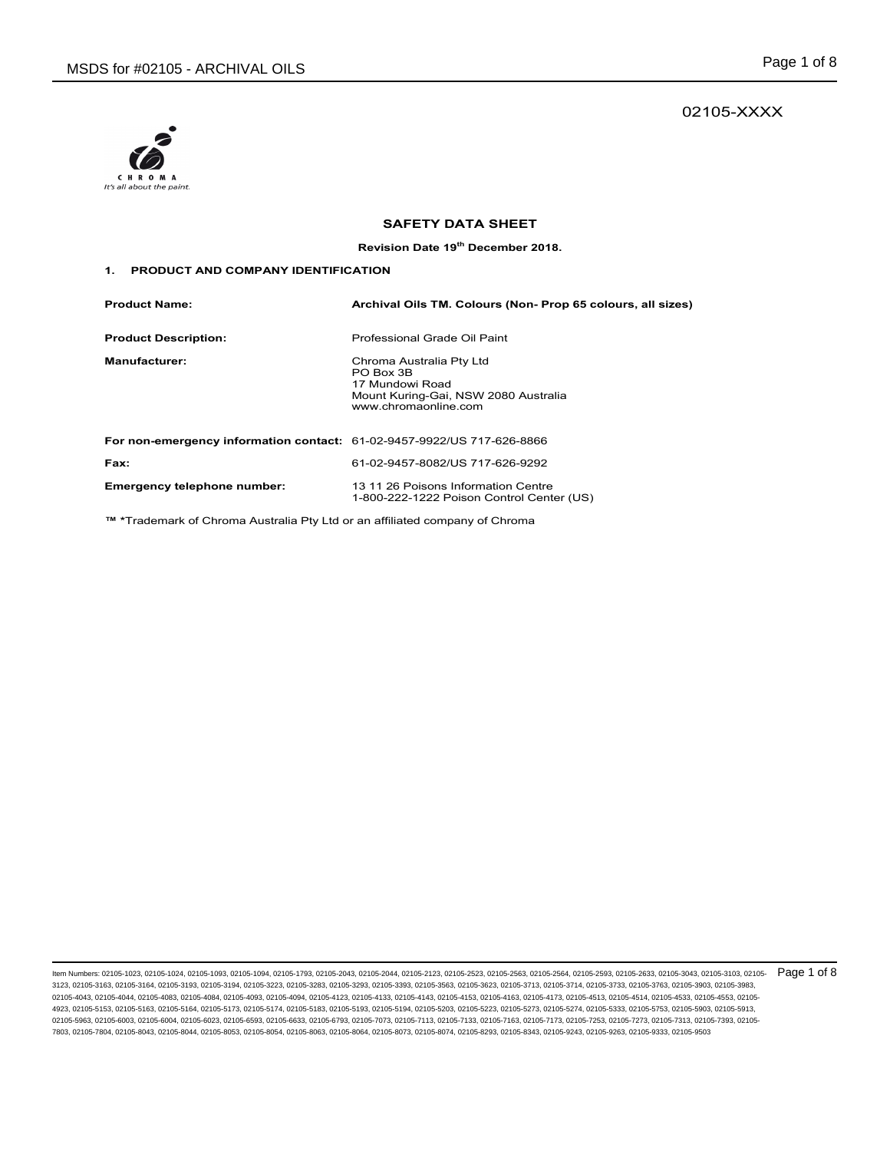# 02105-XXXX



# **SAFETY DATA SHEET**

**Revision Date 19th December 2018.** 

### **1. PRODUCT AND COMPANY IDENTIFICATION**

| <b>Product Name:</b>                                                          | Archival Oils TM. Colours (Non- Prop 65 colours, all sizes)                                                              |
|-------------------------------------------------------------------------------|--------------------------------------------------------------------------------------------------------------------------|
| <b>Product Description:</b>                                                   | Professional Grade Oil Paint                                                                                             |
| <b>Manufacturer:</b>                                                          | Chroma Australia Pty Ltd<br>PO Box 3B<br>17 Mundowi Road<br>Mount Kuring-Gai, NSW 2080 Australia<br>www.chromaonline.com |
| <b>For non-emergency information contact: 61-02-9457-9922/US 717-626-8866</b> |                                                                                                                          |
| Fax:                                                                          | 61-02-9457-8082/US 717-626-9292                                                                                          |
| Emergency telephone number:                                                   | 13 11 26 Poisons Information Centre<br>1-800-222-1222 Poison Control Center (US)                                         |

**™ \***Trademark of Chroma Australia Pty Ltd or an affiliated company of Chroma

ltem Numbers: 02105-1023, 02105-1024, 02105-1093, 02105-1094, 02105-1793, 02105-2043, 02105-2044, 02105-2123, 02105-253, 02105-2563, 02105-2564, 02105-2583, 02105-2593, 02105-2633, 02105-3043, 02105-3103, 02105-2633, 02105 3123, 02105-3163, 02105-3164, 02105-3193, 02105-3194, 02105-3223, 02105-3283, 02105-3293, 02105-3393, 02105-3563, 02105-3623, 02105-3713, 02105-3714, 02105-3733, 02105-3763, 02105-3903, 02105-3983, 02105-4043, 02105-4044, 02105-4083, 02105-4084, 02105-4093, 02105-4094, 02105-4123, 02105-4133, 02105-4143, 02105-4153, 02105-4163, 02105-4173, 02105-4513, 02105-4514, 02105-4533, 02105-4553, 02105- 4923, 02105-5153, 02105-5163, 02105-5164, 02105-5173, 02105-5174, 02105-5183, 02105-5193, 02105-5194, 02105-5203, 02105-5223, 02105-5273, 02105-5274, 02105-5333, 02105-5753, 02105-5903, 02105-5913, 02105-5963, 02105-6003, 02105-6004, 02105-6023, 02105-6593, 02105-6633, 02105-6793, 02105-7073, 02105-7113, 02105-7133, 02105-7163, 02105-7173, 02105-7253, 02105-7273, 02105-7313, 02105-7393, 02105- 7803, 02105-7804, 02105-8043, 02105-8044, 02105-8053, 02105-8054, 02105-8063, 02105-8064, 02105-8073, 02105-8074, 02105-8293, 02105-8343, 02105-9243, 02105-9263, 02105-9333, 02105-9503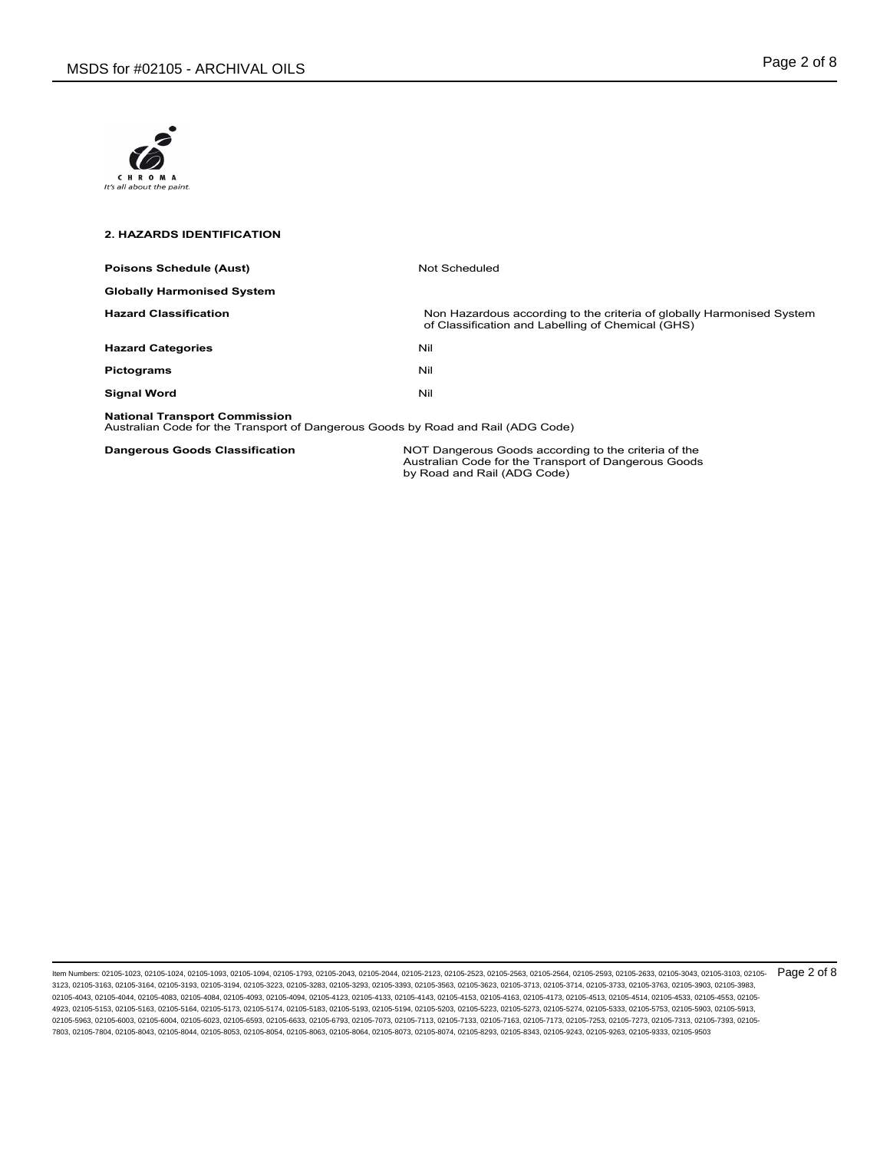

### **2. HAZARDS IDENTIFICATION**

| <b>Poisons Schedule (Aust)</b>                                                                                           | Not Scheduled                                                                                                              |
|--------------------------------------------------------------------------------------------------------------------------|----------------------------------------------------------------------------------------------------------------------------|
| <b>Globally Harmonised System</b>                                                                                        |                                                                                                                            |
| <b>Hazard Classification</b>                                                                                             | Non Hazardous according to the criteria of globally Harmonised System<br>of Classification and Labelling of Chemical (GHS) |
| <b>Hazard Categories</b>                                                                                                 | Nil                                                                                                                        |
| <b>Pictograms</b>                                                                                                        | Nil                                                                                                                        |
| <b>Signal Word</b>                                                                                                       | Nil                                                                                                                        |
| <b>National Transport Commission</b><br>Australian Code for the Transport of Dangerous Goods by Road and Rail (ADG Code) |                                                                                                                            |

**Dangerous Goods Classification**<br>
Australian Code for the Transport of Dangerous Goods<br>
by Road and Rail (ADG Code)

ltem Numbers: 02105-1023, 02105-1024, 02105-1093, 02105-1094, 02105-1793, 02105-2043, 02105-2044, 02105-2123, 02105-253, 02105-2563, 02105-2564, 02105-2563, 02105-2593, 02105-2633, 02105-3043, 02105-3103, 02105-2635, 02105 3123, 02105-3163, 02105-3164, 02105-3193, 02105-3194, 02105-3223, 02105-3283, 02105-3293, 02105-3393, 02105-3563, 02105-3623, 02105-3713, 02105-3714, 02105-3733, 02105-3763, 02105-3903, 02105-3983, 02105-4043, 02105-4044, 02105-4083, 02105-4084, 02105-4093, 02105-4094, 02105-4123, 02105-4133, 02105-4143, 02105-4153, 02105-4163, 02105-4173, 02105-4513, 02105-4514, 02105-4533, 02105-4553, 02105- 4923, 02105-5153, 02105-5163, 02105-5164, 02105-5173, 02105-5174, 02105-5183, 02105-5193, 02105-5194, 02105-5203, 02105-5223, 02105-5273, 02105-5274, 02105-5333, 02105-5753, 02105-5903, 02105-5913, 02105-5963, 02105-6003, 02105-6004, 02105-6023, 02105-6593, 02105-6633, 02105-6793, 02105-7073, 02105-7113, 02105-7133, 02105-7163, 02105-7173, 02105-7253, 02105-7273, 02105-7313, 02105-7393, 02105- 7803, 02105-7804, 02105-8043, 02105-8044, 02105-8053, 02105-8054, 02105-8063, 02105-8064, 02105-8073, 02105-8074, 02105-8293, 02105-8343, 02105-9243, 02105-9263, 02105-9333, 02105-9503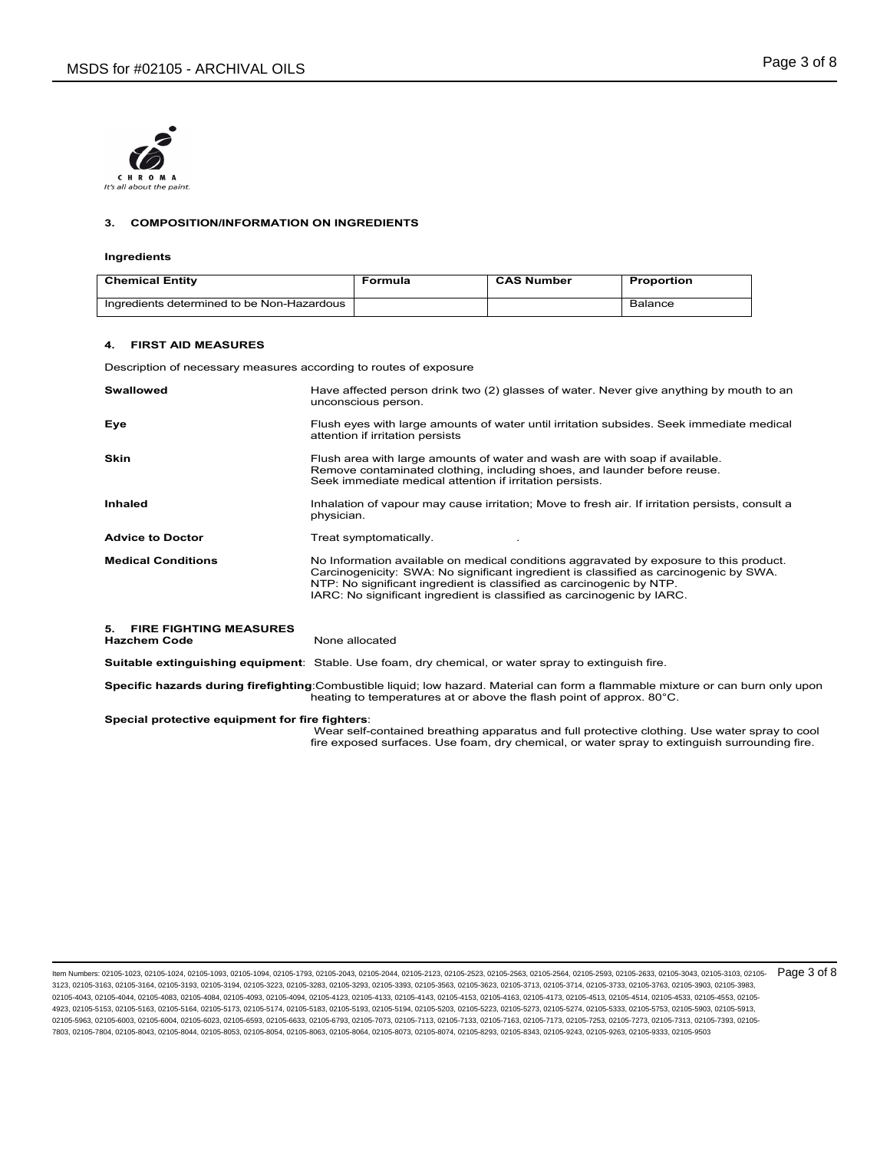

### **3. COMPOSITION/INFORMATION ON INGREDIENTS**

#### **Ingredients**

| <b>Chemical Entity</b>                     | Formula | <b>CAS Number</b> | <b>Proportion</b> |
|--------------------------------------------|---------|-------------------|-------------------|
| Ingredients determined to be Non-Hazardous |         |                   | Balance           |

#### **4. FIRST AID MEASURES**

Description of necessary measures according to routes of exposure

| <b>Swallowed</b>                                 | Have affected person drink two (2) glasses of water. Never give anything by mouth to an<br>unconscious person.                                                                                                                                                                                                                    |
|--------------------------------------------------|-----------------------------------------------------------------------------------------------------------------------------------------------------------------------------------------------------------------------------------------------------------------------------------------------------------------------------------|
| Eye                                              | Flush eyes with large amounts of water until irritation subsides. Seek immediate medical<br>attention if irritation persists                                                                                                                                                                                                      |
| Skin                                             | Flush area with large amounts of water and wash are with soap if available.<br>Remove contaminated clothing, including shoes, and launder before reuse.<br>Seek immediate medical attention if irritation persists.                                                                                                               |
| Inhaled                                          | Inhalation of vapour may cause irritation; Move to fresh air. If irritation persists, consult a<br>physician.                                                                                                                                                                                                                     |
| <b>Advice to Doctor</b>                          | Treat symptomatically.                                                                                                                                                                                                                                                                                                            |
| <b>Medical Conditions</b>                        | No Information available on medical conditions aggravated by exposure to this product.<br>Carcinogenicity: SWA: No significant ingredient is classified as carcinogenic by SWA.<br>NTP: No significant ingredient is classified as carcinogenic by NTP.<br>IARC: No significant ingredient is classified as carcinogenic by IARC. |
| 5. FIRE FIGHTING MEASURES<br><b>Hazchem Code</b> | None allocated                                                                                                                                                                                                                                                                                                                    |
|                                                  | <b>Suitable extinguishing equipment</b> : Stable. Use foam, dry chemical, or water spray to extinguish fire.                                                                                                                                                                                                                      |

**Specific hazards during firefighting**:Combustible liquid; low hazard. Material can form a flammable mixture or can burn only upon

heating to temperatures at or above the flash point of approx. 80°C.

#### **Special protective equipment for fire fighters**:

 Wear self-contained breathing apparatus and full protective clothing. Use water spray to cool fire exposed surfaces. Use foam, dry chemical, or water spray to extinguish surrounding fire.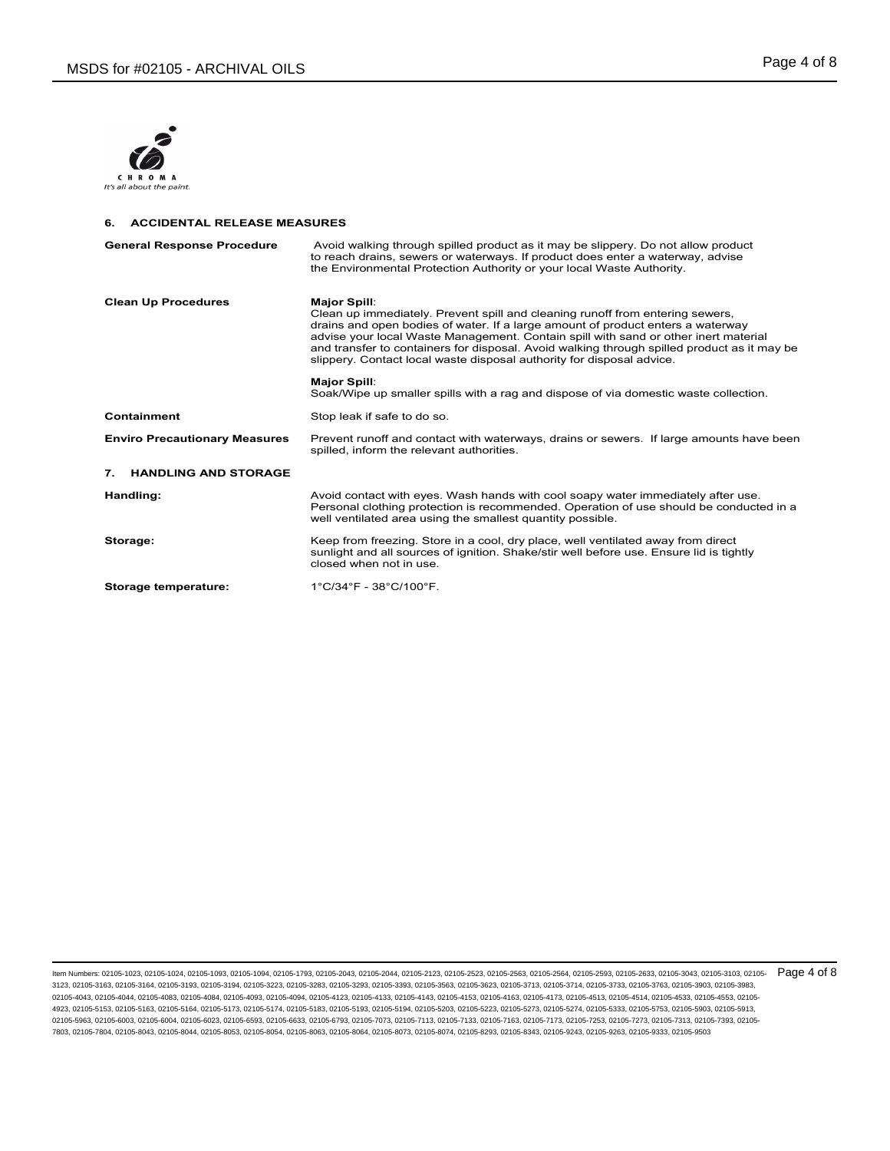

### **6. ACCIDENTAL RELEASE MEASURES**

| <b>General Response Procedure</b>    | Avoid walking through spilled product as it may be slippery. Do not allow product<br>to reach drains, sewers or waterways. If product does enter a waterway, advise<br>the Environmental Protection Authority or your local Waste Authority.                                                                                                                                                                                                           |
|--------------------------------------|--------------------------------------------------------------------------------------------------------------------------------------------------------------------------------------------------------------------------------------------------------------------------------------------------------------------------------------------------------------------------------------------------------------------------------------------------------|
| <b>Clean Up Procedures</b>           | <b>Major Spill:</b><br>Clean up immediately. Prevent spill and cleaning runoff from entering sewers,<br>drains and open bodies of water. If a large amount of product enters a waterway<br>advise your local Waste Management. Contain spill with sand or other inert material<br>and transfer to containers for disposal. Avoid walking through spilled product as it may be<br>slippery. Contact local waste disposal authority for disposal advice. |
|                                      | <b>Major Spill:</b><br>Soak/Wipe up smaller spills with a rag and dispose of via domestic waste collection.                                                                                                                                                                                                                                                                                                                                            |
| <b>Containment</b>                   | Stop leak if safe to do so.                                                                                                                                                                                                                                                                                                                                                                                                                            |
| <b>Enviro Precautionary Measures</b> | Prevent runoff and contact with waterways, drains or sewers. If large amounts have been<br>spilled, inform the relevant authorities.                                                                                                                                                                                                                                                                                                                   |
| 7.<br><b>HANDLING AND STORAGE</b>    |                                                                                                                                                                                                                                                                                                                                                                                                                                                        |
| Handling:                            | Avoid contact with eyes. Wash hands with cool soapy water immediately after use.<br>Personal clothing protection is recommended. Operation of use should be conducted in a<br>well ventilated area using the smallest quantity possible.                                                                                                                                                                                                               |
| Storage:                             | Keep from freezing. Store in a cool, dry place, well ventilated away from direct<br>sunlight and all sources of ignition. Shake/stir well before use. Ensure lid is tightly<br>closed when not in use.                                                                                                                                                                                                                                                 |
| Storage temperature:                 | 1°C/34°F - 38°C/100°F.                                                                                                                                                                                                                                                                                                                                                                                                                                 |

ltem Numbers: 02105-1023, 02105-1024, 02105-1093, 02105-1094, 02105-1793, 02105-2043, 02105-2044, 02105-2123, 02105-253, 02105-2563, 02105-2564, 02105-2563, 02105-2593, 02105-2633, 02105-3043, 02105-3103, 02105-2635, 02105 3123, 02105-3163, 02105-3164, 02105-3193, 02105-3194, 02105-3223, 02105-3283, 02105-3293, 02105-3393, 02105-3563, 02105-3623, 02105-3713, 02105-3714, 02105-3733, 02105-3763, 02105-3903, 02105-3983, 02105-4043, 02105-4044, 02105-4083, 02105-4084, 02105-4093, 02105-4094, 02105-4123, 02105-4133, 02105-4143, 02105-4153, 02105-4163, 02105-4173, 02105-4513, 02105-4514, 02105-4533, 02105-4553, 02105- 4923, 02105-5153, 02105-5163, 02105-5164, 02105-5173, 02105-5174, 02105-5183, 02105-5193, 02105-5194, 02105-5203, 02105-5223, 02105-5273, 02105-5274, 02105-5333, 02105-5753, 02105-5903, 02105-5913, 02105-5963, 02105-6003, 02105-6004, 02105-6023, 02105-6593, 02105-6633, 02105-6793, 02105-7073, 02105-7113, 02105-7133, 02105-7163, 02105-7173, 02105-7253, 02105-7273, 02105-7313, 02105-7393, 02105- 7803, 02105-7804, 02105-8043, 02105-8044, 02105-8053, 02105-8054, 02105-8063, 02105-8064, 02105-8073, 02105-8074, 02105-8293, 02105-8343, 02105-9243, 02105-9263, 02105-9333, 02105-9503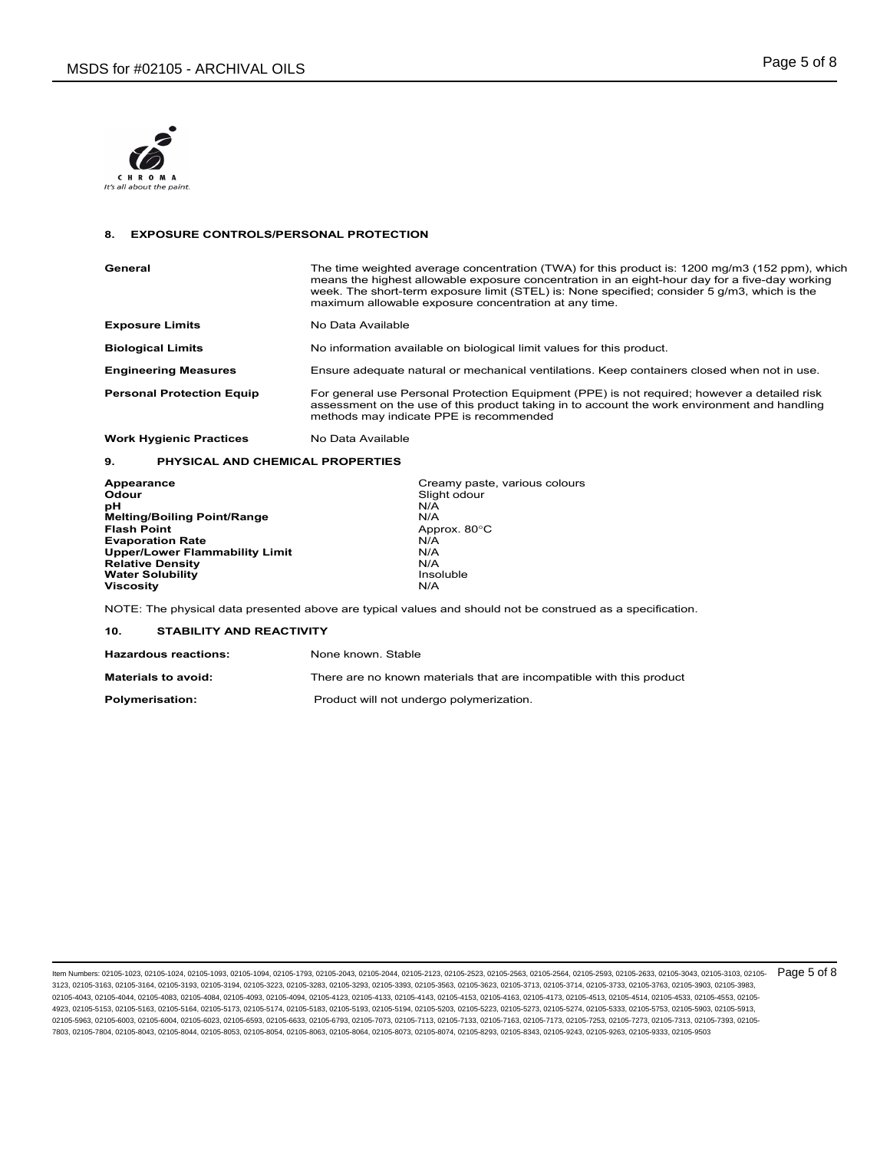

#### **8. EXPOSURE CONTROLS/PERSONAL PROTECTION**

| General                          | The time weighted average concentration (TWA) for this product is: 1200 mg/m3 (152 ppm), which<br>means the highest allowable exposure concentration in an eight-hour day for a five-day working<br>week. The short-term exposure limit (STEL) is: None specified; consider 5 g/m3, which is the<br>maximum allowable exposure concentration at any time. |
|----------------------------------|-----------------------------------------------------------------------------------------------------------------------------------------------------------------------------------------------------------------------------------------------------------------------------------------------------------------------------------------------------------|
| <b>Exposure Limits</b>           | No Data Available                                                                                                                                                                                                                                                                                                                                         |
| <b>Biological Limits</b>         | No information available on biological limit values for this product.                                                                                                                                                                                                                                                                                     |
| <b>Engineering Measures</b>      | Ensure adequate natural or mechanical ventilations. Keep containers closed when not in use.                                                                                                                                                                                                                                                               |
| <b>Personal Protection Equip</b> | For general use Personal Protection Equipment (PPE) is not required; however a detailed risk<br>assessment on the use of this product taking in to account the work environment and handling<br>methods may indicate PPE is recommended                                                                                                                   |
| <b>Work Hygienic Practices</b>   | No Data Available                                                                                                                                                                                                                                                                                                                                         |

#### **9. PHYSICAL AND CHEMICAL PROPERTIES**

| Appearance                            | Creamy paste, various colours |
|---------------------------------------|-------------------------------|
| Odour                                 | Slight odour                  |
| рH                                    | N/A                           |
| <b>Melting/Boiling Point/Range</b>    | N/A                           |
| <b>Flash Point</b>                    | Approx. 80°C                  |
| <b>Evaporation Rate</b>               | N/A                           |
| <b>Upper/Lower Flammability Limit</b> | N/A                           |
| <b>Relative Density</b>               | N/A                           |
| <b>Water Solubility</b>               | Insoluble                     |
| <b>Viscosity</b>                      | N/A                           |

NOTE: The physical data presented above are typical values and should not be construed as a specification.

### **10. STABILITY AND REACTIVITY**

| <b>Hazardous reactions:</b> | None known, Stable                                                   |
|-----------------------------|----------------------------------------------------------------------|
| <b>Materials to avoid:</b>  | There are no known materials that are incompatible with this product |
| <b>Polymerisation:</b>      | Product will not undergo polymerization.                             |

ltem Numbers: 02105-1023, 02105-1024, 02105-1093, 02105-1094, 02105-1793, 02105-2043, 02105-2044, 02105-2123, 02105-253, 02105-2563, 02105-2564, 02105-2563, 02105-2593, 02105-2633, 02105-3043, 02105-3043, 02105-2633, 02105 3123, 02105-3163, 02105-3164, 02105-3193, 02105-3194, 02105-3223, 02105-3283, 02105-3293, 02105-3393, 02105-3563, 02105-3623, 02105-3713, 02105-3714, 02105-3733, 02105-3763, 02105-3903, 02105-3983, 02105-4043, 02105-4044, 02105-4083, 02105-4084, 02105-4093, 02105-4094, 02105-4123, 02105-4133, 02105-4143, 02105-4153, 02105-4163, 02105-4173, 02105-4513, 02105-4514, 02105-4533, 02105-4553, 02105- 4923, 02105-5153, 02105-5163, 02105-5164, 02105-5173, 02105-5174, 02105-5183, 02105-5193, 02105-5194, 02105-5203, 02105-5223, 02105-5273, 02105-5274, 02105-5333, 02105-5753, 02105-5903, 02105-5913, 02105-5963, 02105-6003, 02105-6004, 02105-6023, 02105-6593, 02105-6633, 02105-6793, 02105-7073, 02105-7113, 02105-7133, 02105-7163, 02105-7173, 02105-7253, 02105-7273, 02105-7313, 02105-7393, 02105- 7803, 02105-7804, 02105-8043, 02105-8044, 02105-8053, 02105-8054, 02105-8063, 02105-8064, 02105-8073, 02105-8074, 02105-8293, 02105-8343, 02105-9243, 02105-9263, 02105-9333, 02105-9503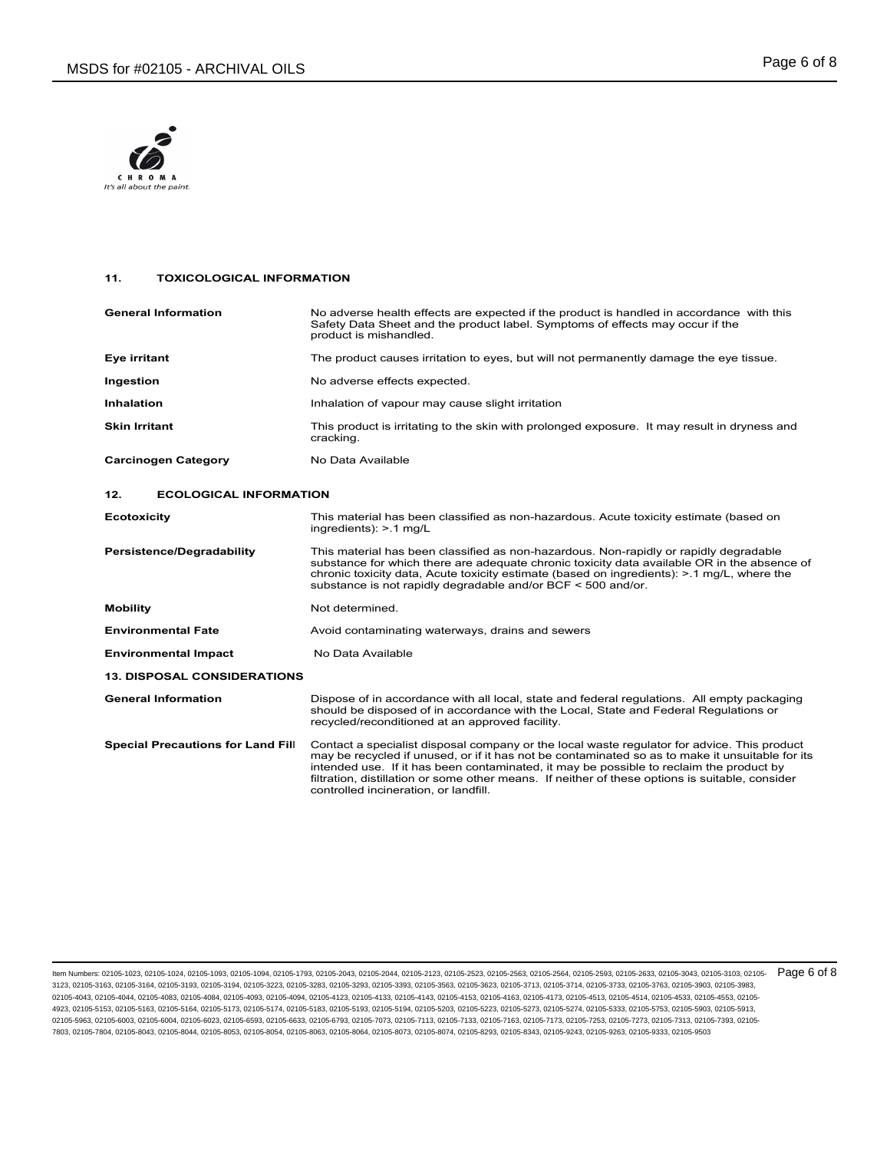

## **11. TOXICOLOGICAL INFORMATION**

| <b>General Information</b>               | No adverse health effects are expected if the product is handled in accordance with this<br>Safety Data Sheet and the product label. Symptoms of effects may occur if the<br>product is mishandled.                                                                                                                                                                                                                                   |
|------------------------------------------|---------------------------------------------------------------------------------------------------------------------------------------------------------------------------------------------------------------------------------------------------------------------------------------------------------------------------------------------------------------------------------------------------------------------------------------|
| Eye irritant                             | The product causes irritation to eyes, but will not permanently damage the eye tissue.                                                                                                                                                                                                                                                                                                                                                |
| Ingestion                                | No adverse effects expected.                                                                                                                                                                                                                                                                                                                                                                                                          |
| <b>Inhalation</b>                        | Inhalation of vapour may cause slight irritation                                                                                                                                                                                                                                                                                                                                                                                      |
| <b>Skin Irritant</b>                     | This product is irritating to the skin with prolonged exposure. It may result in dryness and<br>cracking.                                                                                                                                                                                                                                                                                                                             |
| <b>Carcinogen Category</b>               | No Data Available                                                                                                                                                                                                                                                                                                                                                                                                                     |
| 12.<br><b>ECOLOGICAL INFORMATION</b>     |                                                                                                                                                                                                                                                                                                                                                                                                                                       |
| <b>Ecotoxicity</b>                       | This material has been classified as non-hazardous. Acute toxicity estimate (based on<br>ingredients): $> 1$ mg/L                                                                                                                                                                                                                                                                                                                     |
| <b>Persistence/Degradability</b>         | This material has been classified as non-hazardous. Non-rapidly or rapidly degradable<br>substance for which there are adequate chronic toxicity data available OR in the absence of<br>chronic toxicity data, Acute toxicity estimate (based on ingredients): > 1 mg/L, where the<br>substance is not rapidly degradable and/or BCF < 500 and/or.                                                                                    |
| <b>Mobility</b>                          | Not determined.                                                                                                                                                                                                                                                                                                                                                                                                                       |
| <b>Environmental Fate</b>                | Avoid contaminating waterways, drains and sewers                                                                                                                                                                                                                                                                                                                                                                                      |
| <b>Environmental Impact</b>              | No Data Available                                                                                                                                                                                                                                                                                                                                                                                                                     |
| <b>13. DISPOSAL CONSIDERATIONS</b>       |                                                                                                                                                                                                                                                                                                                                                                                                                                       |
| <b>General Information</b>               | Dispose of in accordance with all local, state and federal regulations. All empty packaging<br>should be disposed of in accordance with the Local, State and Federal Regulations or<br>recycled/reconditioned at an approved facility.                                                                                                                                                                                                |
| <b>Special Precautions for Land Fill</b> | Contact a specialist disposal company or the local waste regulator for advice. This product<br>may be recycled if unused, or if it has not be contaminated so as to make it unsuitable for its<br>intended use. If it has been contaminated, it may be possible to reclaim the product by<br>filtration, distillation or some other means. If neither of these options is suitable, consider<br>controlled incineration, or landfill. |

ltem Numbers: 02105-1023, 02105-1024, 02105-1093, 02105-1094, 02105-1793, 02105-2043, 02105-2044, 02105-2123, 02105-253, 02105-2563, 02105-2564, 02105-2564, 02105-2593, 02105-2633, 02105-3043, 02105-3043, 02105-2633, 02105 3123, 02105-3163, 02105-3164, 02105-3193, 02105-3194, 02105-3223, 02105-3283, 02105-3293, 02105-3393, 02105-3563, 02105-3623, 02105-3713, 02105-3714, 02105-3733, 02105-3763, 02105-3903, 02105-3983, 02105-4043, 02105-4044, 02105-4083, 02105-4084, 02105-4093, 02105-4094, 02105-4123, 02105-4133, 02105-4143, 02105-4153, 02105-4163, 02105-4173, 02105-4513, 02105-4514, 02105-4533, 02105-4553, 02105- 4923, 02105-5153, 02105-5163, 02105-5164, 02105-5173, 02105-5174, 02105-5183, 02105-5193, 02105-5194, 02105-5203, 02105-5223, 02105-5273, 02105-5274, 02105-5333, 02105-5753, 02105-5903, 02105-5913, 02105-5963, 02105-6003, 02105-6004, 02105-6023, 02105-6593, 02105-6633, 02105-6793, 02105-7073, 02105-7113, 02105-7133, 02105-7163, 02105-7173, 02105-7253, 02105-7273, 02105-7313, 02105-7393, 02105- 7803, 02105-7804, 02105-8043, 02105-8044, 02105-8053, 02105-8054, 02105-8063, 02105-8064, 02105-8073, 02105-8074, 02105-8293, 02105-8343, 02105-9243, 02105-9263, 02105-9333, 02105-9503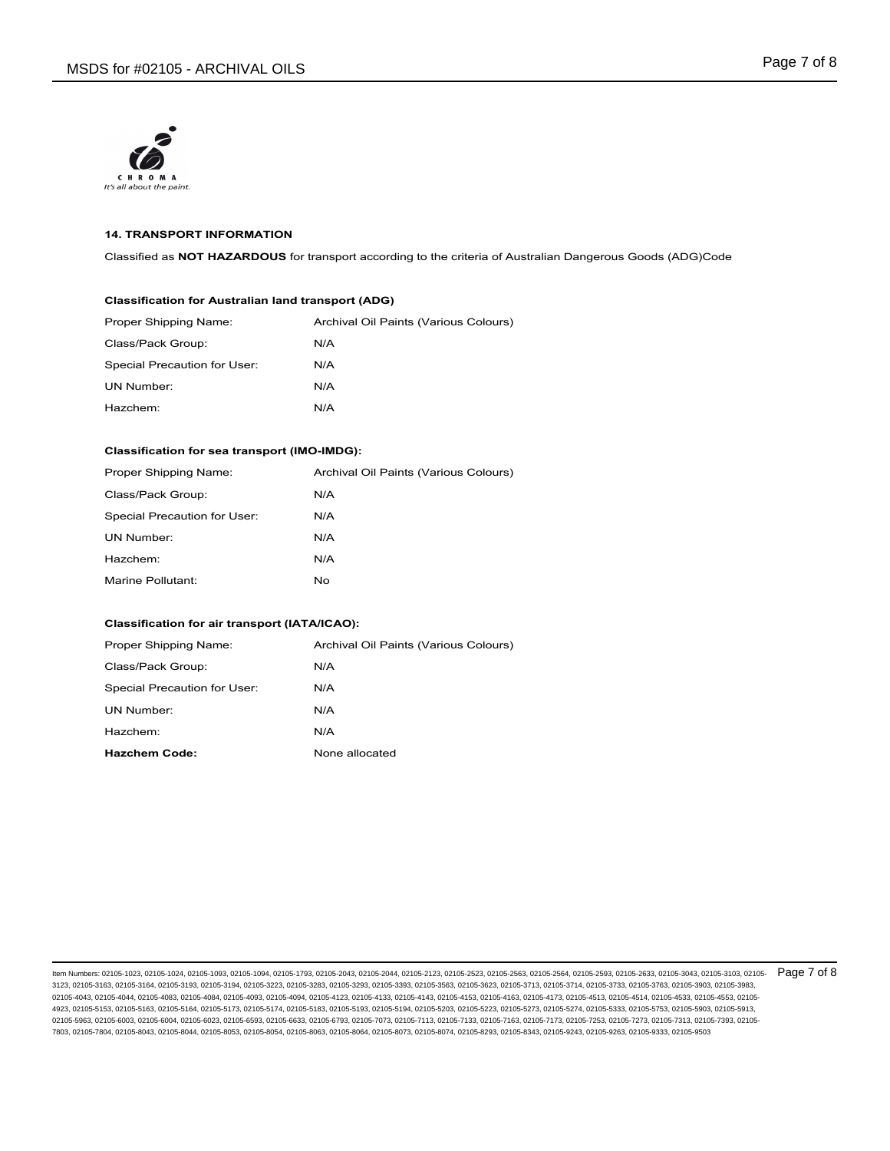

### **14. TRANSPORT INFORMATION**

Classified as **NOT HAZARDOUS** for transport according to the criteria of Australian Dangerous Goods (ADG)Code

### **Classification for Australian land transport (ADG)**

| Proper Shipping Name:        | Archival Oil Paints (Various Colours) |
|------------------------------|---------------------------------------|
| Class/Pack Group:            | N/A                                   |
| Special Precaution for User: | N/A                                   |
| UN Number:                   | N/A                                   |
| Hazchem:                     | N/A                                   |

#### **Classification for sea transport (IMO-IMDG):**

| Proper Shipping Name:        | Archival Oil Paints (Various Colours) |
|------------------------------|---------------------------------------|
| Class/Pack Group:            | N/A                                   |
| Special Precaution for User: | N/A                                   |
| UN Number:                   | N/A                                   |
| Hazchem:                     | N/A                                   |
| Marine Pollutant:            | No.                                   |

### **Classification for air transport (IATA/ICAO):**

| Proper Shipping Name:        | Archival Oil Paints (Various Colours) |
|------------------------------|---------------------------------------|
| Class/Pack Group:            | N/A                                   |
| Special Precaution for User: | N/A                                   |
| UN Number:                   | N/A                                   |
| Hazchem:                     | N/A                                   |
| <b>Hazchem Code:</b>         | None allocated                        |

ltem Numbers: 02105-1023, 02105-1024, 02105-1093, 02105-1094, 02105-1793, 02105-2043, 02105-2044, 02105-2123, 02105-253, 02105-2563, 02105-2564, 02105-2583, 02105-2593, 02105-2633, 02105-3043, 02105-3043, 02105-2633, 02105 3123, 02105-3163, 02105-3164, 02105-3193, 02105-3194, 02105-3223, 02105-3283, 02105-3293, 02105-3393, 02105-3563, 02105-3623, 02105-3713, 02105-3714, 02105-3733, 02105-3763, 02105-3903, 02105-3983, 02105-4043, 02105-4044, 02105-4083, 02105-4084, 02105-4093, 02105-4094, 02105-4123, 02105-4133, 02105-4143, 02105-4153, 02105-4163, 02105-4173, 02105-4513, 02105-4514, 02105-4533, 02105-4553, 02105- 4923, 02105-5153, 02105-5163, 02105-5164, 02105-5173, 02105-5174, 02105-5183, 02105-5193, 02105-5194, 02105-5203, 02105-5223, 02105-5273, 02105-5274, 02105-5333, 02105-5753, 02105-5903, 02105-5913, 02105-5963, 02105-6003, 02105-6004, 02105-6023, 02105-6593, 02105-6633, 02105-6793, 02105-7073, 02105-7113, 02105-7133, 02105-7163, 02105-7173, 02105-7253, 02105-7273, 02105-7313, 02105-7393, 02105- 7803, 02105-7804, 02105-8043, 02105-8044, 02105-8053, 02105-8054, 02105-8063, 02105-8064, 02105-8073, 02105-8074, 02105-8293, 02105-8343, 02105-9243, 02105-9263, 02105-9333, 02105-9503